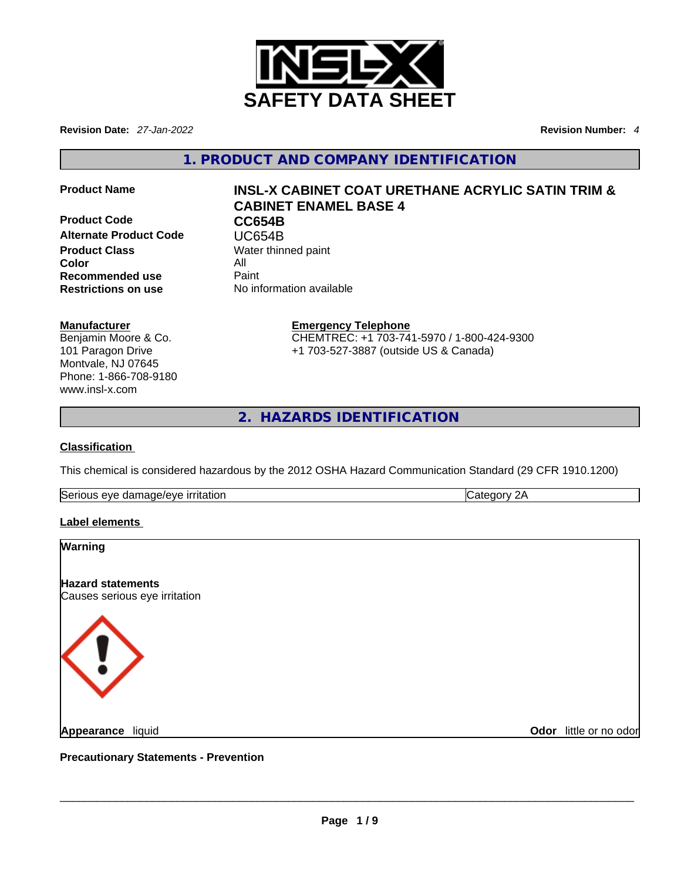

**Revision Date:** *27-Jan-2022* **Revision Number:** *4*

**1. PRODUCT AND COMPANY IDENTIFICATION** 

**Product Code CC654B Alternate Product Code CODE UC654B**<br> **Product Class** Water thin **Color Recommended use** Paint<br> **Restrictions on use** No inf

# **Product Name INSL-X CABINET COAT URETHANE ACRYLIC SATIN TRIM & CABINET ENAMEL BASE 4**

**Water thinned paint**<br>All **No information available** 

# **Manufacturer**

Benjamin Moore & Co. 101 Paragon Drive Montvale, NJ 07645 Phone: 1-866-708-9180 www.insl-x.com

**Emergency Telephone** CHEMTREC: +1 703-741-5970 / 1-800-424-9300 +1 703-527-3887 (outside US & Canada)

**2. HAZARDS IDENTIFICATION** 

# **Classification**

This chemical is considered hazardous by the 2012 OSHA Hazard Communication Standard (29 CFR 1910.1200)

Serious eye damage/eye irritation **Category 2A** Category 2A

# **Label elements**

# **Warning**

**Hazard statements** Causes serious eye irritation



**Odor** little or no odor

**Precautionary Statements - Prevention Appearance** liquid \_\_\_\_\_\_\_\_\_\_\_\_\_\_\_\_\_\_\_\_\_\_\_\_\_\_\_\_\_\_\_\_\_\_\_\_\_\_\_\_\_\_\_\_\_\_\_\_\_\_\_\_\_\_\_\_\_\_\_\_\_\_\_\_\_\_\_\_\_\_\_\_\_\_\_\_\_\_\_\_\_\_\_\_\_\_\_\_\_\_\_\_\_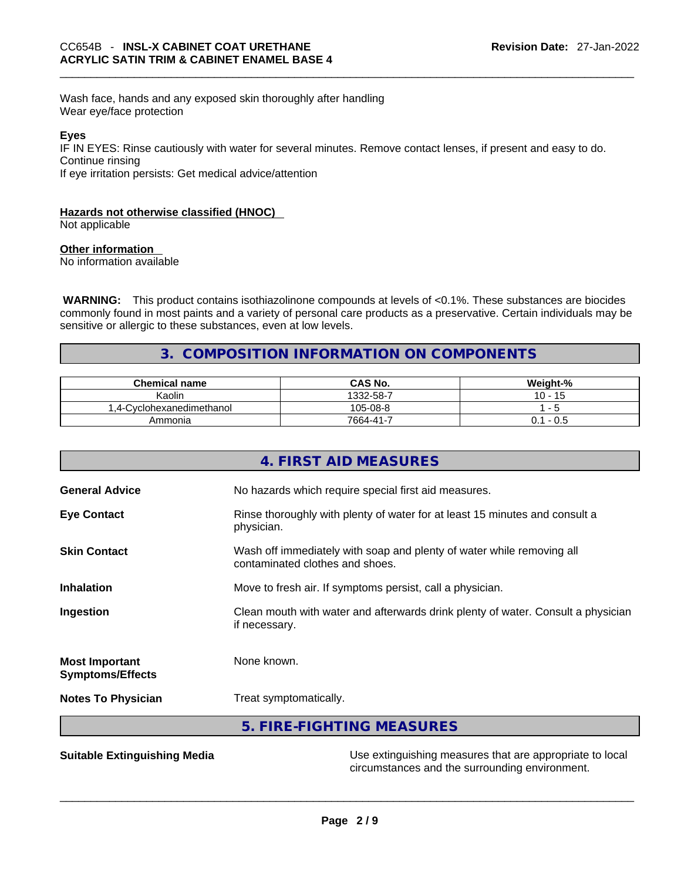Wash face, hands and any exposed skin thoroughly after handling Wear eye/face protection

## **Eyes**

IF IN EYES: Rinse cautiously with water for several minutes. Remove contact lenses, if present and easy to do. Continue rinsing

If eye irritation persists: Get medical advice/attention

## **Hazards not otherwise classified (HNOC)**

Not applicable

# **Other information**

No information available

 **WARNING:** This product contains isothiazolinone compounds at levels of <0.1%. These substances are biocides commonly found in most paints and a variety of personal care products as a preservative. Certain individuals may be sensitive or allergic to these substances, even at low levels.

# **3. COMPOSITION INFORMATION ON COMPONENTS**

| <b>Chemical name</b>             | CAS No.   | Weight-%                 |
|----------------------------------|-----------|--------------------------|
| Kaolin                           | 1332-58-7 | $10 -$<br>15             |
| Cvclohexanedimethanol<br>$4 - 1$ | 105-08-8  | $\overline{\phantom{a}}$ |
| Ammonia                          | 7664-41-7 | - 0.5                    |

|                                                  | 4. FIRST AID MEASURES                                                                                    |
|--------------------------------------------------|----------------------------------------------------------------------------------------------------------|
| <b>General Advice</b>                            | No hazards which require special first aid measures.                                                     |
| <b>Eye Contact</b>                               | Rinse thoroughly with plenty of water for at least 15 minutes and consult a<br>physician.                |
| <b>Skin Contact</b>                              | Wash off immediately with soap and plenty of water while removing all<br>contaminated clothes and shoes. |
| <b>Inhalation</b>                                | Move to fresh air. If symptoms persist, call a physician.                                                |
| Ingestion                                        | Clean mouth with water and afterwards drink plenty of water. Consult a physician<br>if necessary.        |
| <b>Most Important</b><br><b>Symptoms/Effects</b> | None known.                                                                                              |
| <b>Notes To Physician</b>                        | Treat symptomatically.                                                                                   |
|                                                  | 5. FIRE-FIGHTING MEASURES                                                                                |
|                                                  |                                                                                                          |

**Suitable Extinguishing Media** Media Use extinguishing measures that are appropriate to local circumstances and the surrounding environment.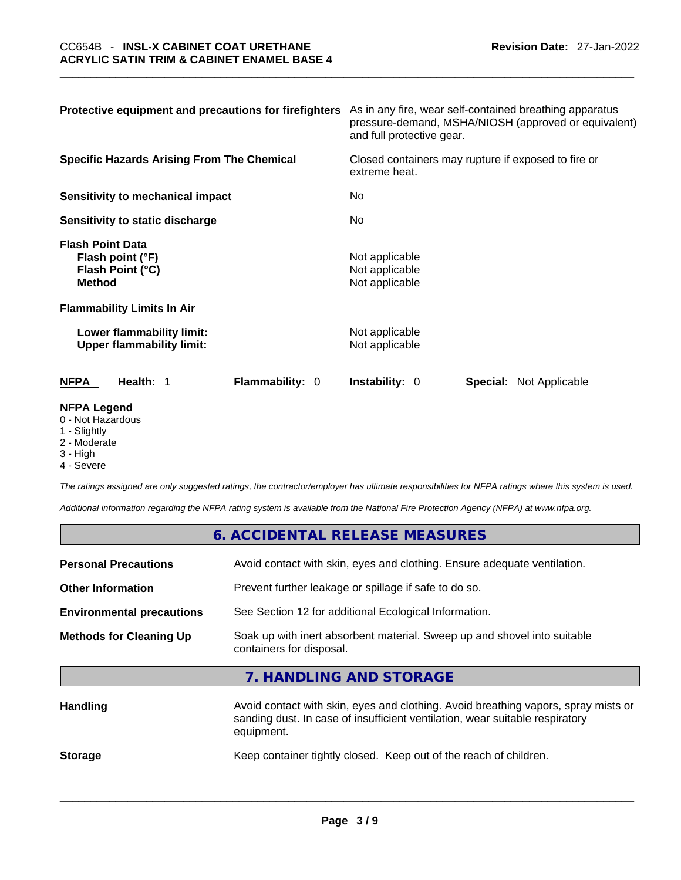| Protective equipment and precautions for firefighters                                                              | As in any fire, wear self-contained breathing apparatus<br>pressure-demand, MSHA/NIOSH (approved or equivalent)<br>and full protective gear. |  |
|--------------------------------------------------------------------------------------------------------------------|----------------------------------------------------------------------------------------------------------------------------------------------|--|
| <b>Specific Hazards Arising From The Chemical</b>                                                                  | Closed containers may rupture if exposed to fire or<br>extreme heat.<br>No.<br>No                                                            |  |
| Sensitivity to mechanical impact                                                                                   |                                                                                                                                              |  |
| Sensitivity to static discharge                                                                                    |                                                                                                                                              |  |
| <b>Flash Point Data</b><br>Flash point (°F)<br>Flash Point (°C)<br><b>Method</b>                                   | Not applicable<br>Not applicable<br>Not applicable                                                                                           |  |
| <b>Flammability Limits In Air</b>                                                                                  |                                                                                                                                              |  |
| Lower flammability limit:<br><b>Upper flammability limit:</b>                                                      | Not applicable<br>Not applicable                                                                                                             |  |
| <b>Flammability: 0</b><br><b>NFPA</b><br>Health: 1                                                                 | <b>Instability: 0</b><br><b>Special: Not Applicable</b>                                                                                      |  |
| <b>NFPA Legend</b><br>$\bigcap$ <b>N</b> Let $\bigcup$ $\bigcup$ $\bigcup$ $\bigcup$ $\bigcup$ $\bigcup$ $\bigcup$ |                                                                                                                                              |  |

- 0 Not Hazardous
- 1 Slightly
- 2 Moderate
- 3 High
- 4 Severe

*The ratings assigned are only suggested ratings, the contractor/employer has ultimate responsibilities for NFPA ratings where this system is used.* 

*Additional information regarding the NFPA rating system is available from the National Fire Protection Agency (NFPA) at www.nfpa.org.* 

| <b>Personal Precautions</b>      | Avoid contact with skin, eyes and clothing. Ensure adequate ventilation.                             |
|----------------------------------|------------------------------------------------------------------------------------------------------|
| <b>Other Information</b>         | Prevent further leakage or spillage if safe to do so.                                                |
| <b>Environmental precautions</b> | See Section 12 for additional Ecological Information.                                                |
| <b>Methods for Cleaning Up</b>   | Soak up with inert absorbent material. Sweep up and shovel into suitable<br>containers for disposal. |

**7. HANDLING AND STORAGE** 

| <b>Handling</b> | Avoid contact with skin, eyes and clothing. Avoid breathing vapors, spray mists or<br>sanding dust. In case of insufficient ventilation, wear suitable respiratory<br>equipment. |  |
|-----------------|----------------------------------------------------------------------------------------------------------------------------------------------------------------------------------|--|
| <b>Storage</b>  | Keep container tightly closed. Keep out of the reach of children.                                                                                                                |  |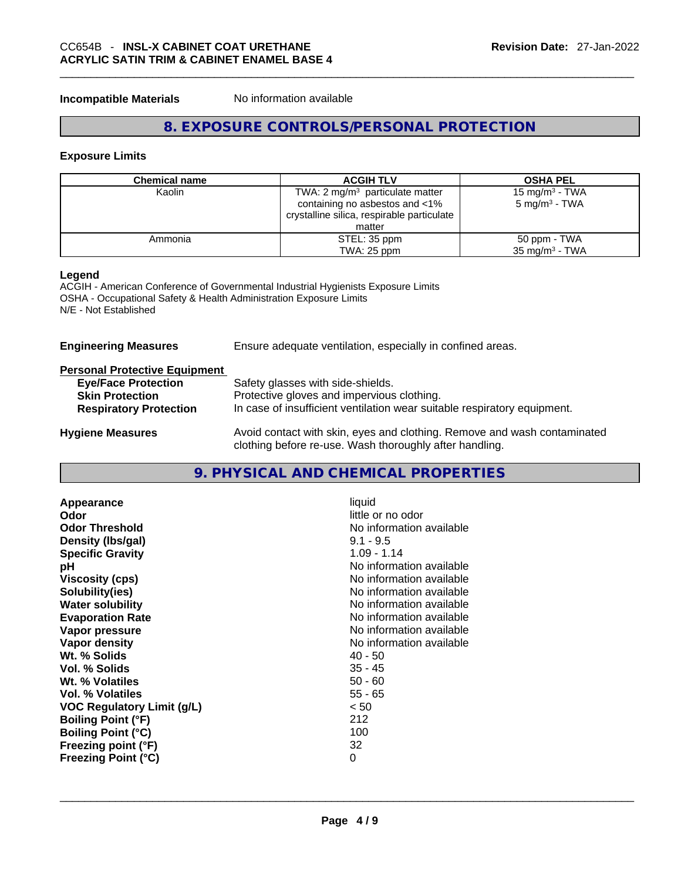# \_\_\_\_\_\_\_\_\_\_\_\_\_\_\_\_\_\_\_\_\_\_\_\_\_\_\_\_\_\_\_\_\_\_\_\_\_\_\_\_\_\_\_\_\_\_\_\_\_\_\_\_\_\_\_\_\_\_\_\_\_\_\_\_\_\_\_\_\_\_\_\_\_\_\_\_\_\_\_\_\_\_\_\_\_\_\_\_\_\_\_\_\_ CC654B - **INSL-X CABINET COAT URETHANE ACRYLIC SATIN TRIM & CABINET ENAMEL BASE 4**

**Incompatible Materials** No information available

# **8. EXPOSURE CONTROLS/PERSONAL PROTECTION**

# **Exposure Limits**

| Chemical name | <b>ACGIH TLV</b>                           | <b>OSHA PEL</b>            |
|---------------|--------------------------------------------|----------------------------|
| Kaolin        | TWA: 2 $mg/m3$ particulate matter          | 15 mg/m <sup>3</sup> - TWA |
|               | containing no asbestos and <1%             | $5 \text{ mg/m}^3$ - TWA   |
|               | crystalline silica, respirable particulate |                            |
|               | matter                                     |                            |
| Ammonia       | STEL: 35 ppm                               | 50 ppm - TWA               |
|               | TWA: 25 ppm                                | $35 \text{ mg/m}^3$ - TWA  |

## **Legend**

ACGIH - American Conference of Governmental Industrial Hygienists Exposure Limits OSHA - Occupational Safety & Health Administration Exposure Limits N/E - Not Established

| <b>Engineering Measures</b>          | Ensure adequate ventilation, especially in confined areas.                                                                          |  |
|--------------------------------------|-------------------------------------------------------------------------------------------------------------------------------------|--|
| <b>Personal Protective Equipment</b> |                                                                                                                                     |  |
| <b>Eye/Face Protection</b>           | Safety glasses with side-shields.                                                                                                   |  |
| <b>Skin Protection</b>               | Protective gloves and impervious clothing.                                                                                          |  |
| <b>Respiratory Protection</b>        | In case of insufficient ventilation wear suitable respiratory equipment.                                                            |  |
| <b>Hygiene Measures</b>              | Avoid contact with skin, eyes and clothing. Remove and wash contaminated<br>clothing before re-use. Wash thoroughly after handling. |  |

# **9. PHYSICAL AND CHEMICAL PROPERTIES**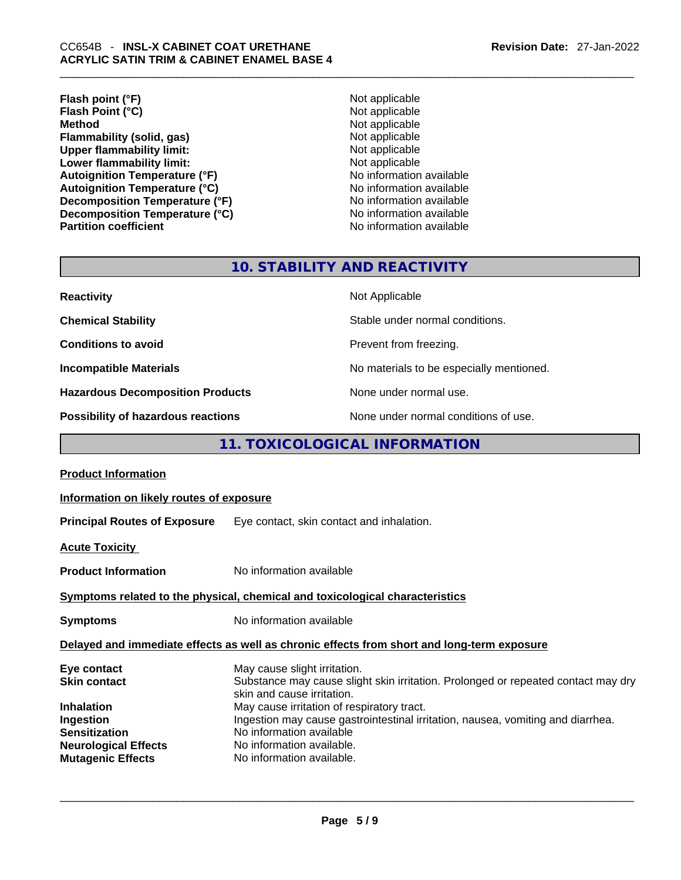**Flash point (°F)**<br> **Flash Point (°C)**<br> **Flash Point (°C)**<br> **C Flash Point (°C)**<br>Method **Flammability (solid, gas) Upper flammability limit:**<br> **Lower flammability limit:**<br>
Not applicable<br>
Not applicable **Lower flammability limit:**<br> **Autoignition Temperature (°F)**<br>
Mo information available **Autoignition Temperature (°F)** Autoignition Temperature (°C)<br>
Decomposition Temperature (°F)<br>
No information available **Decomposition Temperature (°F)**<br> **Decomposition Temperature (°C)**<br>
No information available **Decomposition Temperature (°C) Partition coefficient Contract Community No information available** 

**Not applicable**<br>Not applicable

# **10. STABILITY AND REACTIVITY**

| <b>Reactivity</b>                       | Not Applicable                           |
|-----------------------------------------|------------------------------------------|
| <b>Chemical Stability</b>               | Stable under normal conditions.          |
| <b>Conditions to avoid</b>              | Prevent from freezing.                   |
| <b>Incompatible Materials</b>           | No materials to be especially mentioned. |
| <b>Hazardous Decomposition Products</b> | None under normal use.                   |
| Possibility of hazardous reactions      | None under normal conditions of use.     |

# **11. TOXICOLOGICAL INFORMATION**

| <b>Product Information</b>                                                                                 |                                                                                                                                                                                                                     |
|------------------------------------------------------------------------------------------------------------|---------------------------------------------------------------------------------------------------------------------------------------------------------------------------------------------------------------------|
| Information on likely routes of exposure                                                                   |                                                                                                                                                                                                                     |
|                                                                                                            | <b>Principal Routes of Exposure</b> Eye contact, skin contact and inhalation.                                                                                                                                       |
| <u> Acute Toxicity</u>                                                                                     |                                                                                                                                                                                                                     |
| <b>Product Information</b>                                                                                 | No information available                                                                                                                                                                                            |
|                                                                                                            | Symptoms related to the physical, chemical and toxicological characteristics                                                                                                                                        |
| Symptoms                                                                                                   | No information available                                                                                                                                                                                            |
|                                                                                                            | Delayed and immediate effects as well as chronic effects from short and long-term exposure                                                                                                                          |
| Eye contact<br>Skin contact                                                                                | May cause slight irritation.<br>Substance may cause slight skin irritation. Prolonged or repeated contact may dry<br>skin and cause irritation.                                                                     |
| Inhalation<br>Ingestion<br><b>Sensitization</b><br><b>Neurological Effects</b><br><b>Mutagenic Effects</b> | May cause irritation of respiratory tract.<br>Ingestion may cause gastrointestinal irritation, nausea, vomiting and diarrhea.<br>No information available<br>No information available.<br>No information available. |
|                                                                                                            |                                                                                                                                                                                                                     |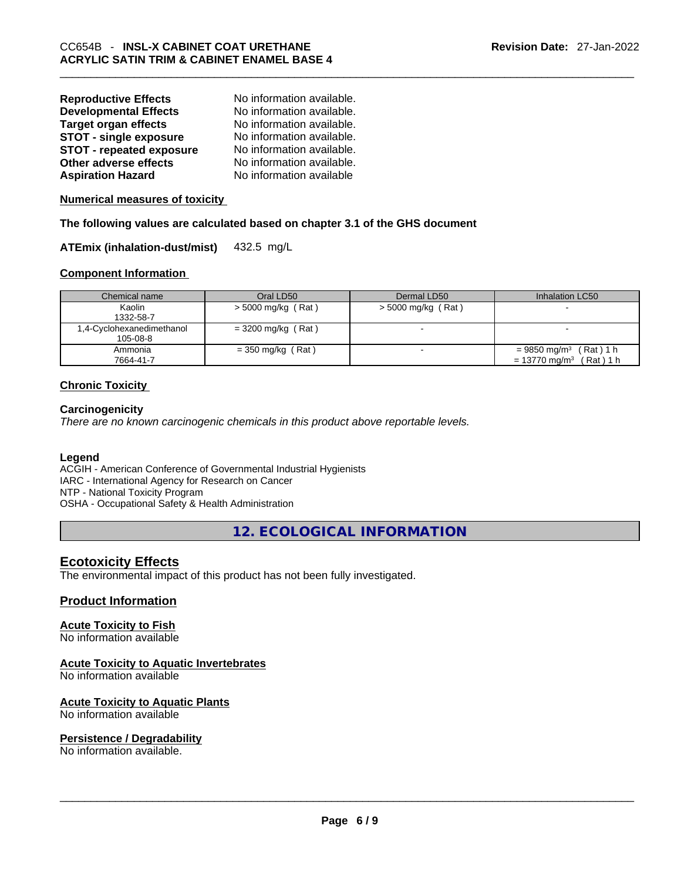| <b>Reproductive Effects</b>     | No information available. |
|---------------------------------|---------------------------|
| <b>Developmental Effects</b>    | No information available. |
| <b>Target organ effects</b>     | No information available. |
| <b>STOT - single exposure</b>   | No information available. |
| <b>STOT - repeated exposure</b> | No information available. |
| Other adverse effects           | No information available. |
| <b>Aspiration Hazard</b>        | No information available  |

**Numerical measures of toxicity**

**The following values are calculated based on chapter 3.1 of the GHS document**

**ATEmix (inhalation-dust/mist)** 432.5 mg/L

## **Component Information**

| Chemical name             | Oral LD50            | Dermal LD50              | Inhalation LC50                       |
|---------------------------|----------------------|--------------------------|---------------------------------------|
| Kaolin                    | $>$ 5000 mg/kg (Rat) | > 5000 mg/kg (Rat)       |                                       |
| 1332-58-7                 |                      |                          |                                       |
| 1,4-Cyclohexanedimethanol | $=$ 3200 mg/kg (Rat) | $\overline{\phantom{0}}$ |                                       |
| 105-08-8                  |                      |                          |                                       |
| Ammonia                   | = 350 mg/kg (Rat)    |                          | $= 9850$ mg/m <sup>3</sup> (Rat) 1 h  |
| 7664-41-7                 |                      |                          | $= 13770$ mg/m <sup>3</sup> (Rat) 1 h |

# **Chronic Toxicity**

## **Carcinogenicity**

*There are no known carcinogenic chemicals in this product above reportable levels.* 

## **Legend**

ACGIH - American Conference of Governmental Industrial Hygienists IARC - International Agency for Research on Cancer NTP - National Toxicity Program OSHA - Occupational Safety & Health Administration

**12. ECOLOGICAL INFORMATION** 

# **Ecotoxicity Effects**

The environmental impact of this product has not been fully investigated.

## **Product Information**

# **Acute Toxicity to Fish**

No information available

# **Acute Toxicity to Aquatic Invertebrates**

No information available

## **Acute Toxicity to Aquatic Plants**

No information available

# **Persistence / Degradability**

No information available. \_\_\_\_\_\_\_\_\_\_\_\_\_\_\_\_\_\_\_\_\_\_\_\_\_\_\_\_\_\_\_\_\_\_\_\_\_\_\_\_\_\_\_\_\_\_\_\_\_\_\_\_\_\_\_\_\_\_\_\_\_\_\_\_\_\_\_\_\_\_\_\_\_\_\_\_\_\_\_\_\_\_\_\_\_\_\_\_\_\_\_\_\_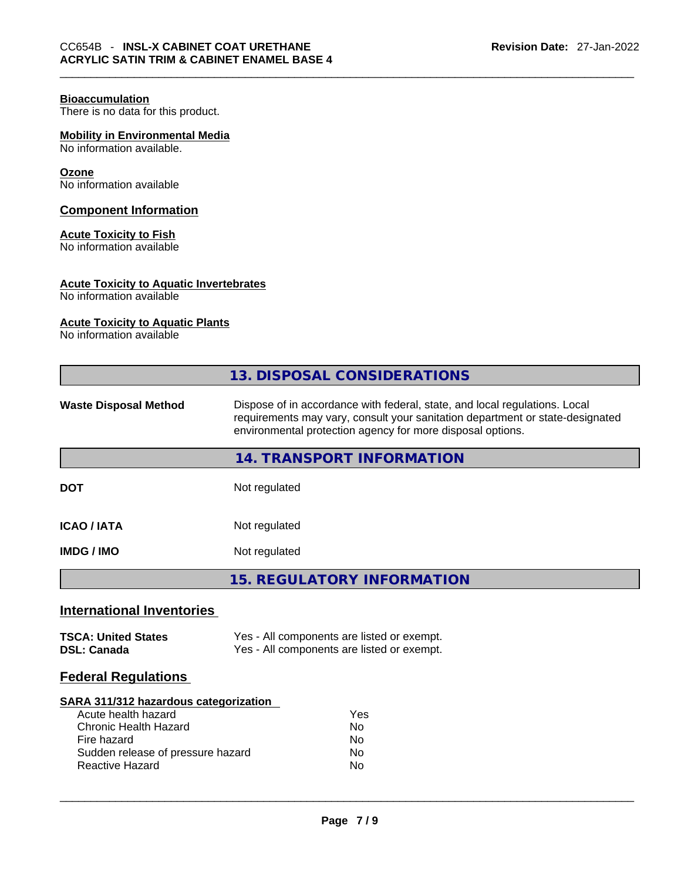# **Bioaccumulation**

There is no data for this product.

# **Mobility in Environmental Media**

No information available.

#### **Ozone**

No information available

# **Component Information**

# **Acute Toxicity to Fish**

No information available

# **Acute Toxicity to Aquatic Invertebrates**

No information available

#### **Acute Toxicity to Aquatic Plants**

No information available

|                                                  | 13. DISPOSAL CONSIDERATIONS                                                                                                                                                                                               |  |  |  |
|--------------------------------------------------|---------------------------------------------------------------------------------------------------------------------------------------------------------------------------------------------------------------------------|--|--|--|
| <b>Waste Disposal Method</b>                     | Dispose of in accordance with federal, state, and local regulations. Local<br>requirements may vary, consult your sanitation department or state-designated<br>environmental protection agency for more disposal options. |  |  |  |
|                                                  | <b>14. TRANSPORT INFORMATION</b>                                                                                                                                                                                          |  |  |  |
| <b>DOT</b>                                       | Not regulated                                                                                                                                                                                                             |  |  |  |
| <b>ICAO/IATA</b>                                 | Not regulated                                                                                                                                                                                                             |  |  |  |
| <b>IMDG/IMO</b>                                  | Not regulated                                                                                                                                                                                                             |  |  |  |
|                                                  | <b>15. REGULATORY INFORMATION</b>                                                                                                                                                                                         |  |  |  |
| <b>International Inventories</b>                 |                                                                                                                                                                                                                           |  |  |  |
| <b>TSCA: United States</b><br><b>DSL: Canada</b> | Yes - All components are listed or exempt.<br>Yes - All components are listed or exempt.                                                                                                                                  |  |  |  |
| <b>Federal Regulations</b>                       |                                                                                                                                                                                                                           |  |  |  |
| SARA 311/312 hazardous categorization            |                                                                                                                                                                                                                           |  |  |  |

| Acute health hazard               | Yes |  |
|-----------------------------------|-----|--|
| Chronic Health Hazard             | No  |  |
| Fire hazard                       | No  |  |
| Sudden release of pressure hazard | N٥  |  |
| Reactive Hazard                   | No  |  |
|                                   |     |  |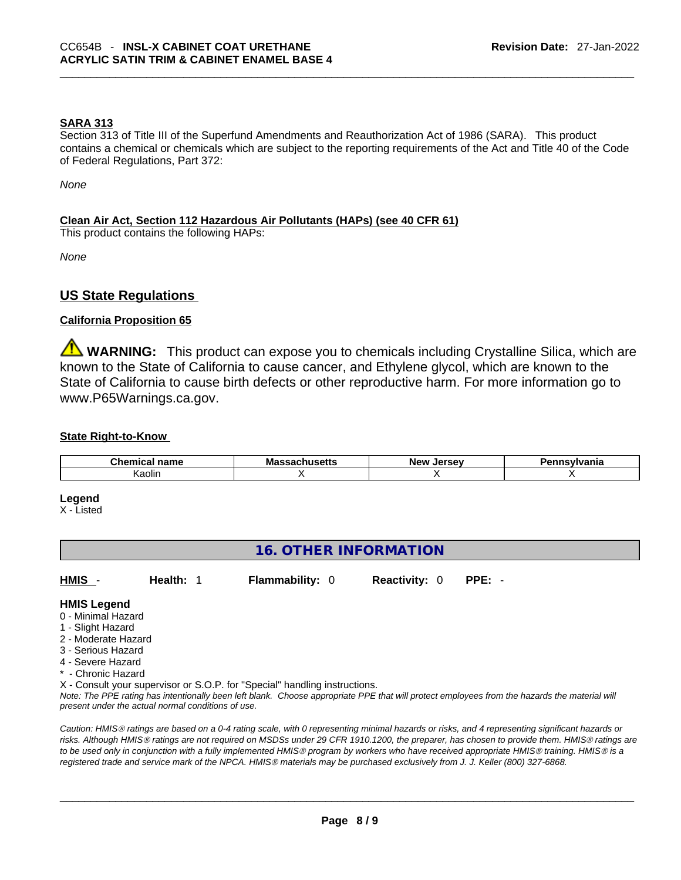# **SARA 313**

Section 313 of Title III of the Superfund Amendments and Reauthorization Act of 1986 (SARA). This product contains a chemical or chemicals which are subject to the reporting requirements of the Act and Title 40 of the Code of Federal Regulations, Part 372:

*None*

# **Clean Air Act,Section 112 Hazardous Air Pollutants (HAPs) (see 40 CFR 61)**

This product contains the following HAPs:

*None*

# **US State Regulations**

## **California Proposition 65**

**WARNING:** This product can expose you to chemicals including Crystalline Silica, which are known to the State of California to cause cancer, and Ethylene glycol, which are known to the State of California to cause birth defects or other reproductive harm. For more information go to www.P65Warnings.ca.gov.

# **State Right-to-Know**

| .<br>$  -$<br>une<br>name<br>лньаг | Mas<br>ハコワしい<br><br>-- | New<br>Jersey | anovivanic<br>'dilla |
|------------------------------------|------------------------|---------------|----------------------|
| Kaolin                             | . .                    |               |                      |

#### **Legend**

X - Listed

# **16. OTHER INFORMATION**

**HMIS** - **Health:** 1 **Flammability:** 0 **Reactivity:** 0 **PPE:** -

#### **HMIS Legend**

- 0 Minimal Hazard
- 1 Slight Hazard
- 2 Moderate Hazard
- 3 Serious Hazard
- 4 Severe Hazard
- \* Chronic Hazard
- X Consult your supervisor or S.O.P. for "Special" handling instructions.

Note: The PPE rating has intentionally been left blank. Choose appropriate PPE that will protect employees from the hazards the material will *present under the actual normal conditions of use.* 

*Caution: HMISÒ ratings are based on a 0-4 rating scale, with 0 representing minimal hazards or risks, and 4 representing significant hazards or risks. Although HMISÒ ratings are not required on MSDSs under 29 CFR 1910.1200, the preparer, has chosen to provide them. HMISÒ ratings are to be used only in conjunction with a fully implemented HMISÒ program by workers who have received appropriate HMISÒ training. HMISÒ is a registered trade and service mark of the NPCA. HMISÒ materials may be purchased exclusively from J. J. Keller (800) 327-6868.*